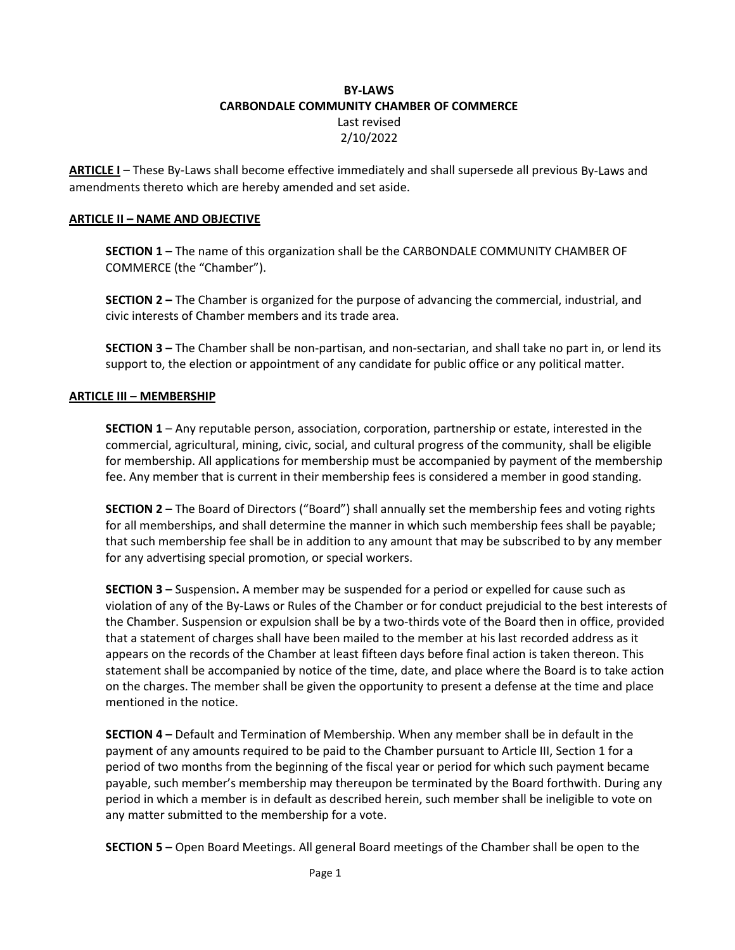# **BY-LAWS CARBONDALE COMMUNITY CHAMBER OF COMMERCE** Last revised 2/10/2022

**ARTICLE I** – These By-Laws shall become effective immediately and shall supersede all previous By-Laws and amendments thereto which are hereby amended and set aside.

## **ARTICLE II – NAME AND OBJECTIVE**

**SECTION 1 –** The name of this organization shall be the CARBONDALE COMMUNITY CHAMBER OF COMMERCE (the "Chamber").

**SECTION 2 –** The Chamber is organized for the purpose of advancing the commercial, industrial, and civic interests of Chamber members and its trade area.

**SECTION 3 –** The Chamber shall be non-partisan, and non-sectarian, and shall take no part in, or lend its support to, the election or appointment of any candidate for public office or any political matter.

#### **ARTICLE III – MEMBERSHIP**

**SECTION 1** – Any reputable person, association, corporation, partnership or estate, interested in the commercial, agricultural, mining, civic, social, and cultural progress of the community, shall be eligible for membership. All applications for membership must be accompanied by payment of the membership fee. Any member that is current in their membership fees is considered a member in good standing.

**SECTION 2** – The Board of Directors ("Board") shall annually set the membership fees and voting rights for all memberships, and shall determine the manner in which such membership fees shall be payable; that such membership fee shall be in addition to any amount that may be subscribed to by any member for any advertising special promotion, or special workers.

**SECTION 3 –** Suspension**.** A member may be suspended for a period or expelled for cause such as violation of any of the By-Laws or Rules of the Chamber or for conduct prejudicial to the best interests of the Chamber. Suspension or expulsion shall be by a two-thirds vote of the Board then in office, provided that a statement of charges shall have been mailed to the member at his last recorded address as it appears on the records of the Chamber at least fifteen days before final action is taken thereon. This statement shall be accompanied by notice of the time, date, and place where the Board is to take action on the charges. The member shall be given the opportunity to present a defense at the time and place mentioned in the notice.

**SECTION 4 –** Default and Termination of Membership. When any member shall be in default in the payment of any amounts required to be paid to the Chamber pursuant to Article III, Section 1 for a period of two months from the beginning of the fiscal year or period for which such payment became payable, such member's membership may thereupon be terminated by the Board forthwith. During any period in which a member is in default as described herein, such member shall be ineligible to vote on any matter submitted to the membership for a vote.

**SECTION 5 –** Open Board Meetings. All general Board meetings of the Chamber shall be open to the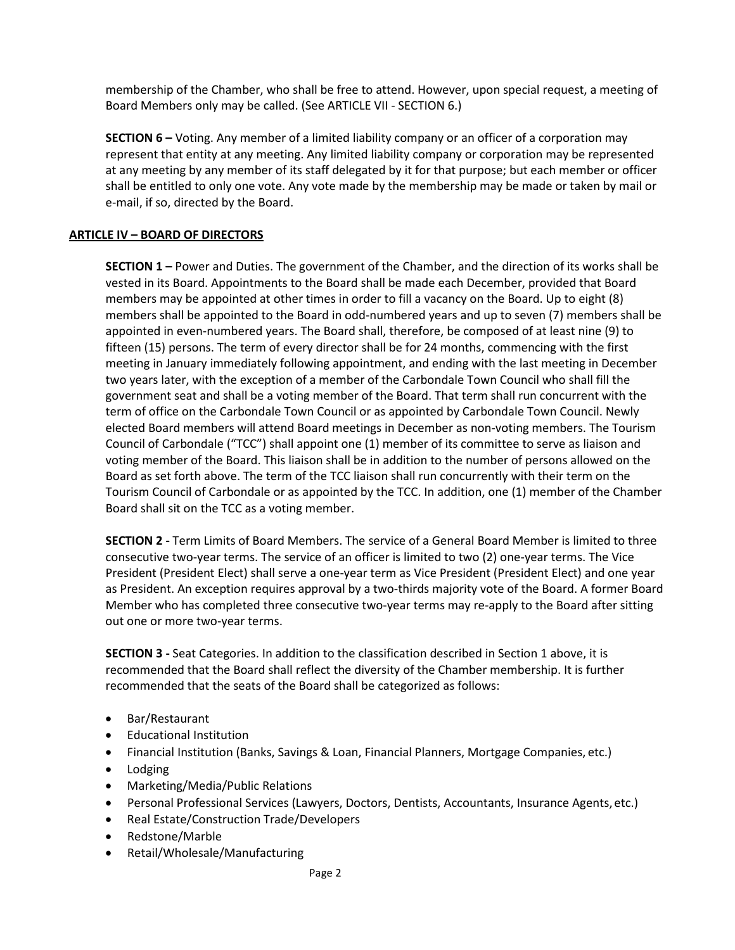membership of the Chamber, who shall be free to attend. However, upon special request, a meeting of Board Members only may be called. (See ARTICLE VII - SECTION 6.)

**SECTION 6 –** Voting. Any member of a limited liability company or an officer of a corporation may represent that entity at any meeting. Any limited liability company or corporation may be represented at any meeting by any member of its staff delegated by it for that purpose; but each member or officer shall be entitled to only one vote. Any vote made by the membership may be made or taken by mail or e-mail, if so, directed by the Board.

# **ARTICLE IV – BOARD OF DIRECTORS**

**SECTION 1 –** Power and Duties. The government of the Chamber, and the direction of its works shall be vested in its Board. Appointments to the Board shall be made each December, provided that Board members may be appointed at other times in order to fill a vacancy on the Board. Up to eight (8) members shall be appointed to the Board in odd-numbered years and up to seven (7) members shall be appointed in even-numbered years. The Board shall, therefore, be composed of at least nine (9) to fifteen (15) persons. The term of every director shall be for 24 months, commencing with the first meeting in January immediately following appointment, and ending with the last meeting in December two years later, with the exception of a member of the Carbondale Town Council who shall fill the government seat and shall be a voting member of the Board. That term shall run concurrent with the term of office on the Carbondale Town Council or as appointed by Carbondale Town Council. Newly elected Board members will attend Board meetings in December as non-voting members. The Tourism Council of Carbondale ("TCC") shall appoint one (1) member of its committee to serve as liaison and voting member of the Board. This liaison shall be in addition to the number of persons allowed on the Board as set forth above. The term of the TCC liaison shall run concurrently with their term on the Tourism Council of Carbondale or as appointed by the TCC. In addition, one (1) member of the Chamber Board shall sit on the TCC as a voting member.

**SECTION 2 -** Term Limits of Board Members. The service of a General Board Member is limited to three consecutive two-year terms. The service of an officer is limited to two (2) one-year terms. The Vice President (President Elect) shall serve a one-year term as Vice President (President Elect) and one year as President. An exception requires approval by a two-thirds majority vote of the Board. A former Board Member who has completed three consecutive two-year terms may re-apply to the Board after sitting out one or more two-year terms.

**SECTION 3 -** Seat Categories. In addition to the classification described in Section 1 above, it is recommended that the Board shall reflect the diversity of the Chamber membership. It is further recommended that the seats of the Board shall be categorized as follows:

- Bar/Restaurant
- Educational Institution
- Financial Institution (Banks, Savings & Loan, Financial Planners, Mortgage Companies, etc.)
- Lodging
- Marketing/Media/Public Relations
- Personal Professional Services (Lawyers, Doctors, Dentists, Accountants, Insurance Agents,etc.)
- Real Estate/Construction Trade/Developers
- Redstone/Marble
- Retail/Wholesale/Manufacturing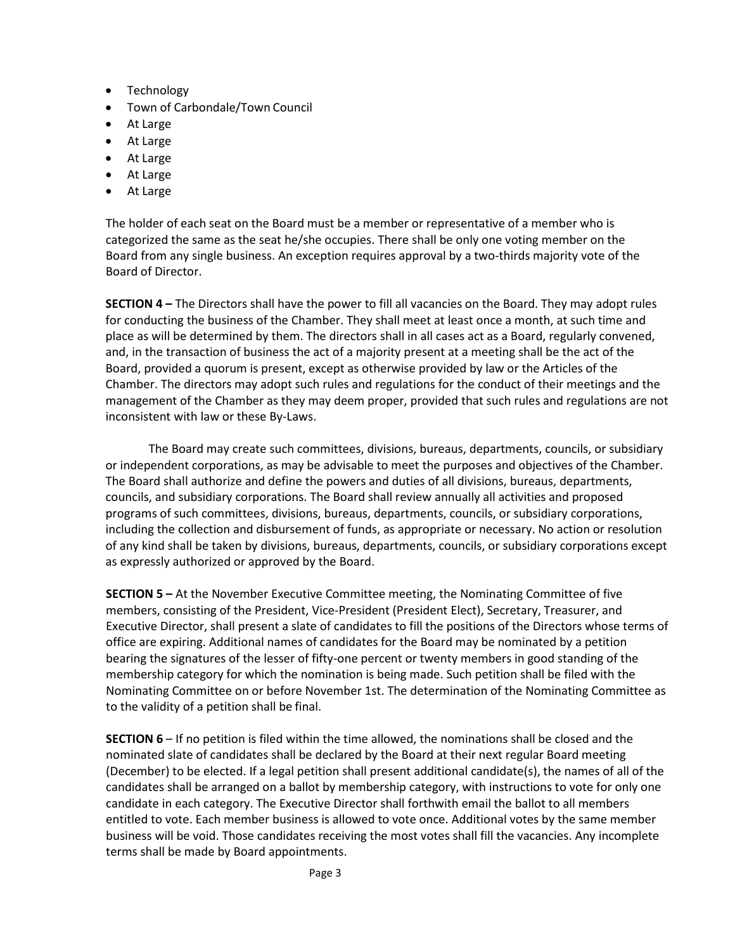- Technology
- Town of Carbondale/Town Council
- At Large
- At Large
- At Large
- At Large
- At Large

The holder of each seat on the Board must be a member or representative of a member who is categorized the same as the seat he/she occupies. There shall be only one voting member on the Board from any single business. An exception requires approval by a two-thirds majority vote of the Board of Director.

**SECTION 4 –** The Directors shall have the power to fill all vacancies on the Board. They may adopt rules for conducting the business of the Chamber. They shall meet at least once a month, at such time and place as will be determined by them. The directors shall in all cases act as a Board, regularly convened, and, in the transaction of business the act of a majority present at a meeting shall be the act of the Board, provided a quorum is present, except as otherwise provided by law or the Articles of the Chamber. The directors may adopt such rules and regulations for the conduct of their meetings and the management of the Chamber as they may deem proper, provided that such rules and regulations are not inconsistent with law or these By-Laws.

The Board may create such committees, divisions, bureaus, departments, councils, or subsidiary or independent corporations, as may be advisable to meet the purposes and objectives of the Chamber. The Board shall authorize and define the powers and duties of all divisions, bureaus, departments, councils, and subsidiary corporations. The Board shall review annually all activities and proposed programs of such committees, divisions, bureaus, departments, councils, or subsidiary corporations, including the collection and disbursement of funds, as appropriate or necessary. No action or resolution of any kind shall be taken by divisions, bureaus, departments, councils, or subsidiary corporations except as expressly authorized or approved by the Board.

**SECTION 5 –** At the November Executive Committee meeting, the Nominating Committee of five members, consisting of the President, Vice-President (President Elect), Secretary, Treasurer, and Executive Director, shall present a slate of candidates to fill the positions of the Directors whose terms of office are expiring. Additional names of candidates for the Board may be nominated by a petition bearing the signatures of the lesser of fifty-one percent or twenty members in good standing of the membership category for which the nomination is being made. Such petition shall be filed with the Nominating Committee on or before November 1st. The determination of the Nominating Committee as to the validity of a petition shall be final.

**SECTION 6** – If no petition is filed within the time allowed, the nominations shall be closed and the nominated slate of candidates shall be declared by the Board at their next regular Board meeting (December) to be elected. If a legal petition shall present additional candidate(s), the names of all of the candidates shall be arranged on a ballot by membership category, with instructions to vote for only one candidate in each category. The Executive Director shall forthwith email the ballot to all members entitled to vote. Each member business is allowed to vote once. Additional votes by the same member business will be void. Those candidates receiving the most votes shall fill the vacancies. Any incomplete terms shall be made by Board appointments.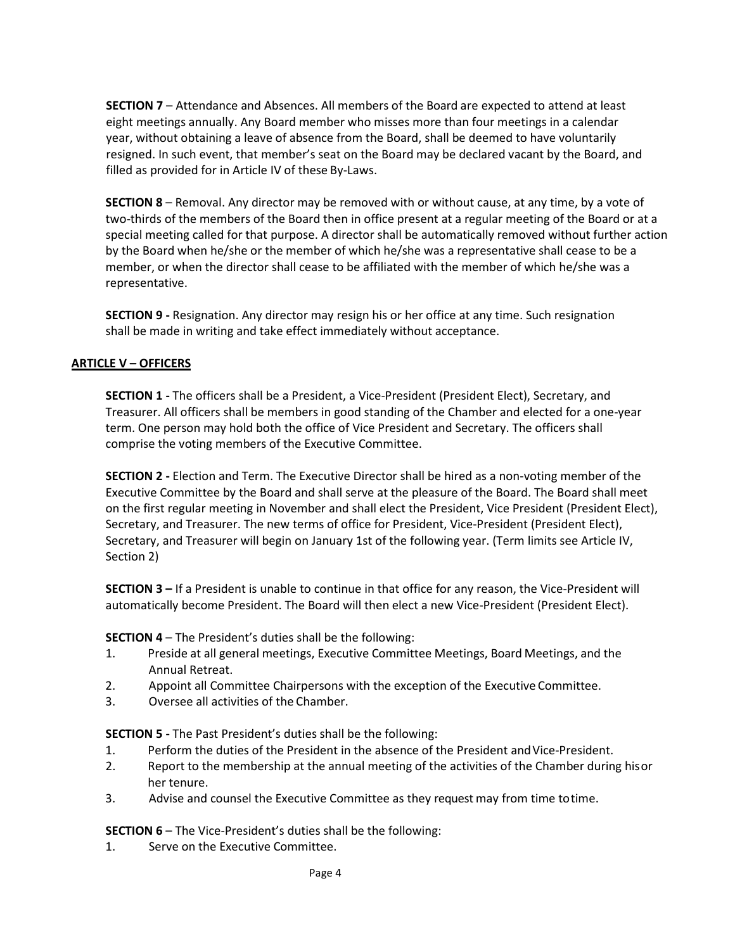**SECTION 7** – Attendance and Absences. All members of the Board are expected to attend at least eight meetings annually. Any Board member who misses more than four meetings in a calendar year, without obtaining a leave of absence from the Board, shall be deemed to have voluntarily resigned. In such event, that member's seat on the Board may be declared vacant by the Board, and filled as provided for in Article IV of these By-Laws.

**SECTION 8** – Removal. Any director may be removed with or without cause, at any time, by a vote of two-thirds of the members of the Board then in office present at a regular meeting of the Board or at a special meeting called for that purpose. A director shall be automatically removed without further action by the Board when he/she or the member of which he/she was a representative shall cease to be a member, or when the director shall cease to be affiliated with the member of which he/she was a representative.

**SECTION 9 -** Resignation. Any director may resign his or her office at any time. Such resignation shall be made in writing and take effect immediately without acceptance.

# **ARTICLE V – OFFICERS**

**SECTION 1 -** The officers shall be a President, a Vice-President (President Elect), Secretary, and Treasurer. All officers shall be members in good standing of the Chamber and elected for a one-year term. One person may hold both the office of Vice President and Secretary. The officers shall comprise the voting members of the Executive Committee.

**SECTION 2 -** Election and Term. The Executive Director shall be hired as a non-voting member of the Executive Committee by the Board and shall serve at the pleasure of the Board. The Board shall meet on the first regular meeting in November and shall elect the President, Vice President (President Elect), Secretary, and Treasurer. The new terms of office for President, Vice-President (President Elect), Secretary, and Treasurer will begin on January 1st of the following year. (Term limits see Article IV, Section 2)

**SECTION 3 –** If a President is unable to continue in that office for any reason, the Vice-President will automatically become President. The Board will then elect a new Vice-President (President Elect).

**SECTION 4** – The President's duties shall be the following:

- 1. Preside at all general meetings, Executive Committee Meetings, Board Meetings, and the Annual Retreat.
- 2. Appoint all Committee Chairpersons with the exception of the Executive Committee.
- 3. Oversee all activities of the Chamber.

**SECTION 5 -** The Past President's duties shall be the following:

- 1. Perform the duties of the President in the absence of the President andVice-President.
- 2. Report to the membership at the annual meeting of the activities of the Chamber during hisor her tenure.
- 3. Advise and counsel the Executive Committee as they request may from time totime.

**SECTION 6** – The Vice-President's duties shall be the following:

1. Serve on the Executive Committee.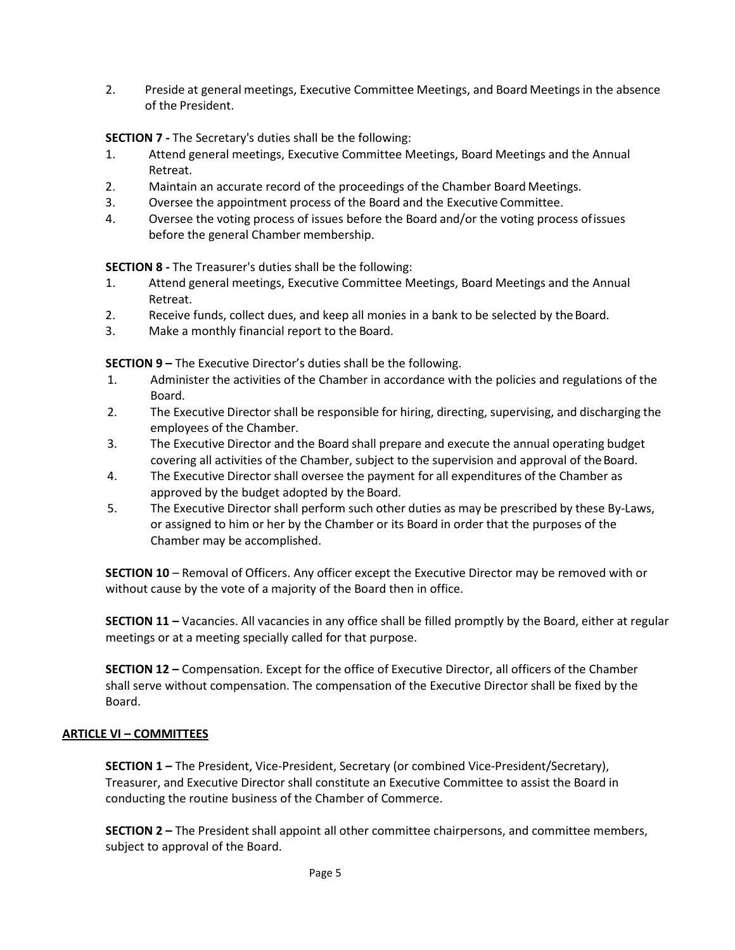2. Preside at general meetings, Executive Committee Meetings, and Board Meetings in the absence of the President.

**SECTION 7 -** The Secretary's duties shall be the following:

- 1. Attend general meetings, Executive Committee Meetings, Board Meetings and the Annual Retreat.
- 2. Maintain an accurate record of the proceedings of the Chamber Board Meetings.
- 3. Oversee the appointment process of the Board and the Executive Committee.
- 4. Oversee the voting process of issues before the Board and/or the voting process ofissues before the general Chamber membership.

**SECTION 8 -** The Treasurer's duties shall be the following:

- 1. Attend general meetings, Executive Committee Meetings, Board Meetings and the Annual Retreat.
- 2. Receive funds, collect dues, and keep all monies in a bank to be selected by the Board.
- 3. Make a monthly financial report to the Board.

**SECTION 9 –** The Executive Director's duties shall be the following.

- 1. Administer the activities of the Chamber in accordance with the policies and regulations of the Board.
- 2. The Executive Director shall be responsible for hiring, directing, supervising, and discharging the employees of the Chamber.
- 3. The Executive Director and the Board shall prepare and execute the annual operating budget covering all activities of the Chamber, subject to the supervision and approval of the Board.
- 4. The Executive Directorshall oversee the payment for all expenditures of the Chamber as approved by the budget adopted by the Board.
- 5. The Executive Director shall perform such other duties as may be prescribed by these By-Laws, or assigned to him or her by the Chamber or its Board in order that the purposes of the Chamber may be accomplished.

**SECTION 10** – Removal of Officers. Any officer except the Executive Director may be removed with or without cause by the vote of a majority of the Board then in office.

**SECTION 11 –** Vacancies. All vacancies in any office shall be filled promptly by the Board, either at regular meetings or at a meeting specially called for that purpose.

**SECTION 12 –** Compensation. Except for the office of Executive Director, all officers of the Chamber shall serve without compensation. The compensation of the Executive Director shall be fixed by the Board.

## **ARTICLE VI – COMMITTEES**

**SECTION 1 –** The President, Vice-President, Secretary (or combined Vice-President/Secretary), Treasurer, and Executive Director shall constitute an Executive Committee to assist the Board in conducting the routine business of the Chamber of Commerce.

**SECTION 2 –** The President shall appoint all other committee chairpersons, and committee members, subject to approval of the Board.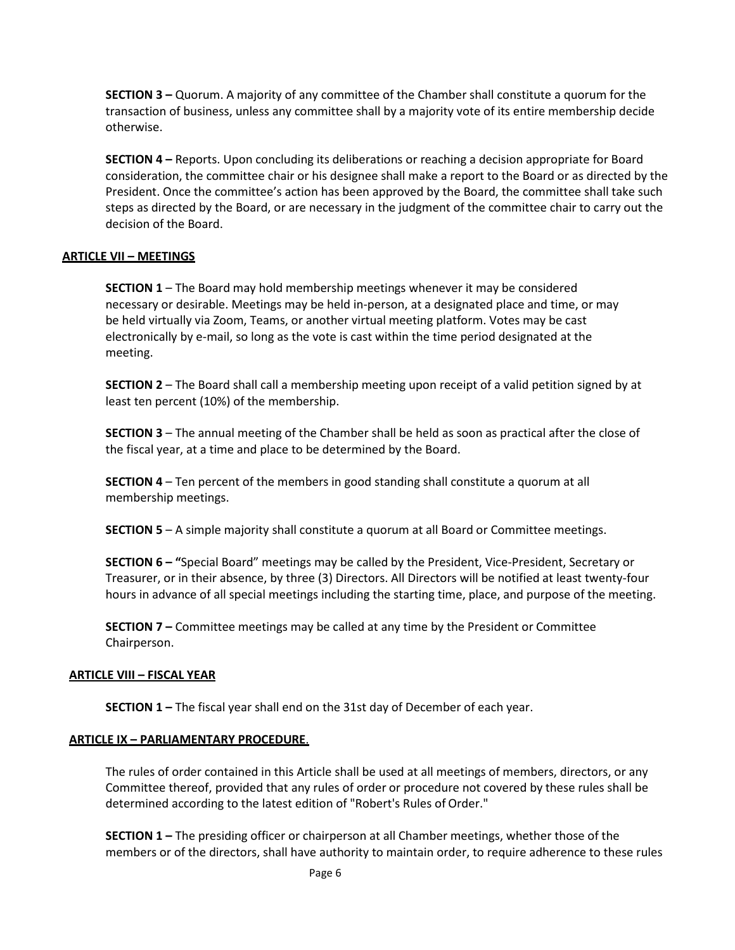**SECTION 3 –** Quorum. A majority of any committee of the Chamber shall constitute a quorum for the transaction of business, unless any committee shall by a majority vote of its entire membership decide otherwise.

**SECTION 4 –** Reports. Upon concluding its deliberations or reaching a decision appropriate for Board consideration, the committee chair or his designee shall make a report to the Board or as directed by the President. Once the committee's action has been approved by the Board, the committee shall take such steps as directed by the Board, or are necessary in the judgment of the committee chair to carry out the decision of the Board.

## **ARTICLE VII – MEETINGS**

**SECTION 1** – The Board may hold membership meetings whenever it may be considered necessary or desirable. Meetings may be held in-person, at a designated place and time, or may be held virtually via Zoom, Teams, or another virtual meeting platform. Votes may be cast electronically by e-mail, so long as the vote is cast within the time period designated at the meeting.

**SECTION 2** – The Board shall call a membership meeting upon receipt of a valid petition signed by at least ten percent (10%) of the membership.

**SECTION 3** – The annual meeting of the Chamber shall be held as soon as practical after the close of the fiscal year, at a time and place to be determined by the Board.

**SECTION 4** – Ten percent of the members in good standing shall constitute a quorum at all membership meetings.

**SECTION 5** – A simple majority shall constitute a quorum at all Board or Committee meetings.

**SECTION 6 – "**Special Board" meetings may be called by the President, Vice-President, Secretary or Treasurer, or in their absence, by three (3) Directors. All Directors will be notified at least twenty-four hours in advance of all special meetings including the starting time, place, and purpose of the meeting.

**SECTION 7 –** Committee meetings may be called at any time by the President or Committee Chairperson.

#### **ARTICLE VIII – FISCAL YEAR**

**SECTION 1 –** The fiscal year shall end on the 31st day of December of each year.

#### **ARTICLE IX – PARLIAMENTARY PROCEDURE**.

The rules of order contained in this Article shall be used at all meetings of members, directors, or any Committee thereof, provided that any rules of order or procedure not covered by these rules shall be determined according to the latest edition of "Robert's Rules of Order."

**SECTION 1 –** The presiding officer or chairperson at all Chamber meetings, whether those of the members or of the directors, shall have authority to maintain order, to require adherence to these rules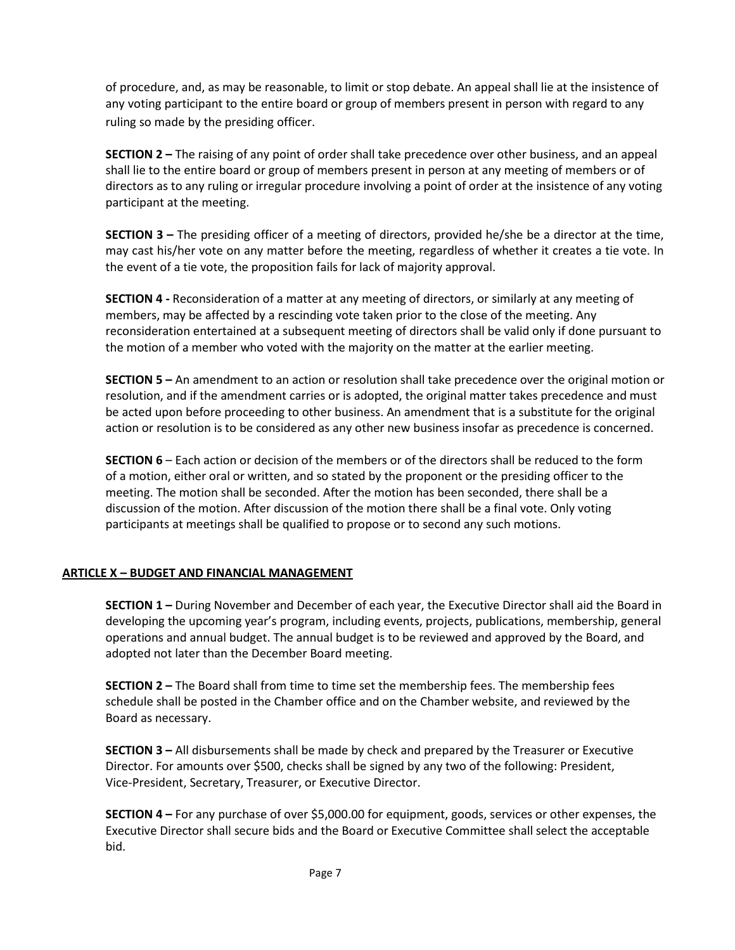of procedure, and, as may be reasonable, to limit or stop debate. An appeal shall lie at the insistence of any voting participant to the entire board or group of members present in person with regard to any ruling so made by the presiding officer.

**SECTION 2 –** The raising of any point of order shall take precedence over other business, and an appeal shall lie to the entire board or group of members present in person at any meeting of members or of directors as to any ruling or irregular procedure involving a point of order at the insistence of any voting participant at the meeting.

**SECTION 3 –** The presiding officer of a meeting of directors, provided he/she be a director at the time, may cast his/her vote on any matter before the meeting, regardless of whether it creates a tie vote. In the event of a tie vote, the proposition fails for lack of majority approval.

**SECTION 4 -** Reconsideration of a matter at any meeting of directors, or similarly at any meeting of members, may be affected by a rescinding vote taken prior to the close of the meeting. Any reconsideration entertained at a subsequent meeting of directors shall be valid only if done pursuant to the motion of a member who voted with the majority on the matter at the earlier meeting.

**SECTION 5 –** An amendment to an action or resolution shall take precedence over the original motion or resolution, and if the amendment carries or is adopted, the original matter takes precedence and must be acted upon before proceeding to other business. An amendment that is a substitute for the original action or resolution is to be considered as any other new business insofar as precedence is concerned.

**SECTION 6** – Each action or decision of the members or of the directors shall be reduced to the form of a motion, either oral or written, and so stated by the proponent or the presiding officer to the meeting. The motion shall be seconded. After the motion has been seconded, there shall be a discussion of the motion. After discussion of the motion there shall be a final vote. Only voting participants at meetings shall be qualified to propose or to second any such motions.

# **ARTICLE X – BUDGET AND FINANCIAL MANAGEMENT**

**SECTION 1 –** During November and December of each year, the Executive Director shall aid the Board in developing the upcoming year's program, including events, projects, publications, membership, general operations and annual budget. The annual budget is to be reviewed and approved by the Board, and adopted not later than the December Board meeting.

**SECTION 2 –** The Board shall from time to time set the membership fees. The membership fees schedule shall be posted in the Chamber office and on the Chamber website, and reviewed by the Board as necessary.

**SECTION 3 –** All disbursements shall be made by check and prepared by the Treasurer or Executive Director. For amounts over \$500, checks shall be signed by any two of the following: President, Vice-President, Secretary, Treasurer, or Executive Director.

**SECTION 4 –** For any purchase of over \$5,000.00 for equipment, goods, services or other expenses, the Executive Director shall secure bids and the Board or Executive Committee shall select the acceptable bid.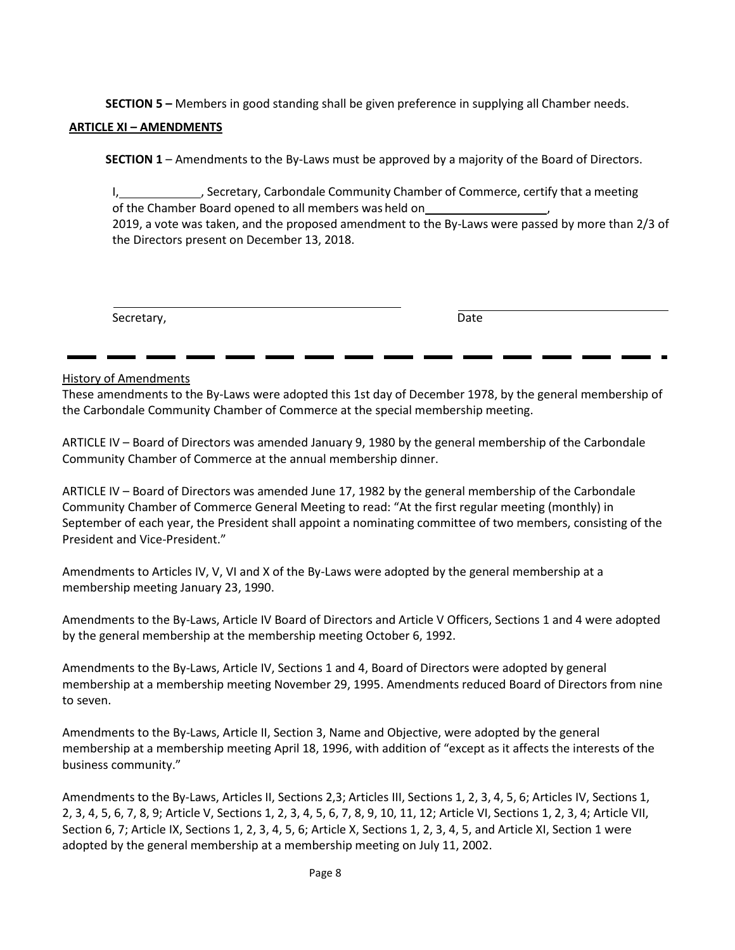**SECTION 5 –** Members in good standing shall be given preference in supplying all Chamber needs.

#### **ARTICLE XI – AMENDMENTS**

**SECTION 1** – Amendments to the By-Laws must be approved by a majority of the Board of Directors.

I, Secretary, Carbondale Community Chamber of Commerce, certify that a meeting of the Chamber Board opened to all members was held on , 2019, a vote was taken, and the proposed amendment to the By-Laws were passed by more than 2/3 of the Directors present on December 13, 2018.

Secretary, Date

#### History of Amendments

These amendments to the By-Laws were adopted this 1st day of December 1978, by the general membership of the Carbondale Community Chamber of Commerce at the special membership meeting.

ARTICLE IV – Board of Directors was amended January 9, 1980 by the general membership of the Carbondale Community Chamber of Commerce at the annual membership dinner.

ARTICLE IV – Board of Directors was amended June 17, 1982 by the general membership of the Carbondale Community Chamber of Commerce General Meeting to read: "At the first regular meeting (monthly) in September of each year, the President shall appoint a nominating committee of two members, consisting of the President and Vice-President."

Amendments to Articles IV, V, VI and X of the By-Laws were adopted by the general membership at a membership meeting January 23, 1990.

Amendments to the By-Laws, Article IV Board of Directors and Article V Officers, Sections 1 and 4 were adopted by the general membership at the membership meeting October 6, 1992.

Amendments to the By-Laws, Article IV, Sections 1 and 4, Board of Directors were adopted by general membership at a membership meeting November 29, 1995. Amendments reduced Board of Directors from nine to seven.

Amendments to the By-Laws, Article II, Section 3, Name and Objective, were adopted by the general membership at a membership meeting April 18, 1996, with addition of "except as it affects the interests of the business community."

Amendments to the By-Laws, Articles II, Sections 2,3; Articles III, Sections 1, 2, 3, 4, 5, 6; Articles IV, Sections 1, 2, 3, 4, 5, 6, 7, 8, 9; Article V, Sections 1, 2, 3, 4, 5, 6, 7, 8, 9, 10, 11, 12; Article VI, Sections 1, 2, 3, 4; Article VII, Section 6, 7; Article IX, Sections 1, 2, 3, 4, 5, 6; Article X, Sections 1, 2, 3, 4, 5, and Article XI, Section 1 were adopted by the general membership at a membership meeting on July 11, 2002.